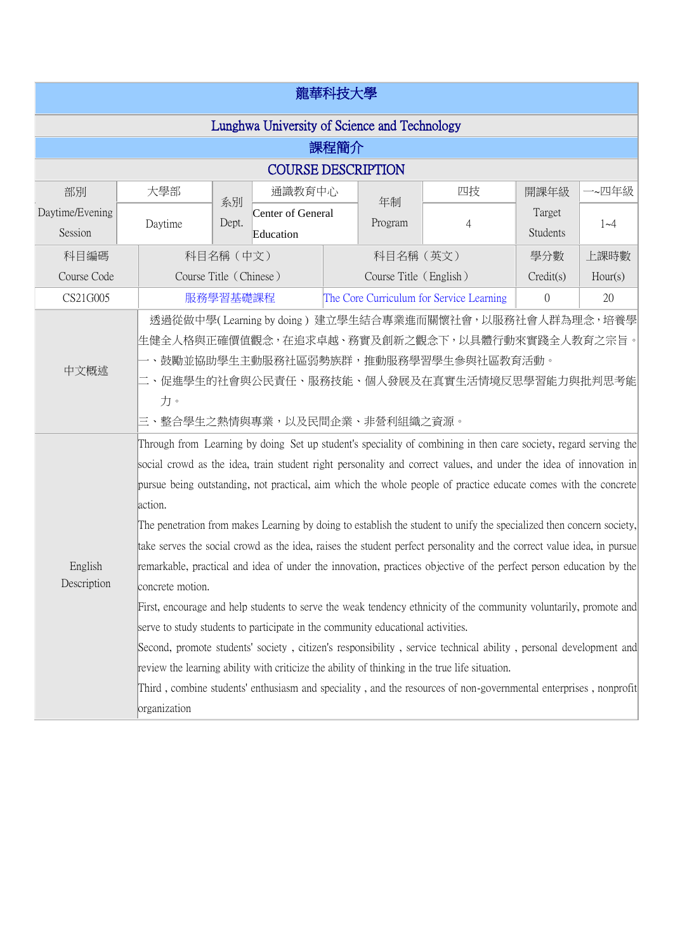| 龍華科技大學                                       |                                                                                                                                                                                                                                                                                                                                                                                                                                                                                                                                                                                                                                                                                                                                                                                                                                                                                                                                                                                                                                                                                                                                                                                                                                                                                                                                   |             |                                |                                          |                        |                |                           |         |
|----------------------------------------------|-----------------------------------------------------------------------------------------------------------------------------------------------------------------------------------------------------------------------------------------------------------------------------------------------------------------------------------------------------------------------------------------------------------------------------------------------------------------------------------------------------------------------------------------------------------------------------------------------------------------------------------------------------------------------------------------------------------------------------------------------------------------------------------------------------------------------------------------------------------------------------------------------------------------------------------------------------------------------------------------------------------------------------------------------------------------------------------------------------------------------------------------------------------------------------------------------------------------------------------------------------------------------------------------------------------------------------------|-------------|--------------------------------|------------------------------------------|------------------------|----------------|---------------------------|---------|
| Lunghwa University of Science and Technology |                                                                                                                                                                                                                                                                                                                                                                                                                                                                                                                                                                                                                                                                                                                                                                                                                                                                                                                                                                                                                                                                                                                                                                                                                                                                                                                                   |             |                                |                                          |                        |                |                           |         |
| 課程簡介                                         |                                                                                                                                                                                                                                                                                                                                                                                                                                                                                                                                                                                                                                                                                                                                                                                                                                                                                                                                                                                                                                                                                                                                                                                                                                                                                                                                   |             |                                |                                          |                        |                |                           |         |
| <b>COURSE DESCRIPTION</b>                    |                                                                                                                                                                                                                                                                                                                                                                                                                                                                                                                                                                                                                                                                                                                                                                                                                                                                                                                                                                                                                                                                                                                                                                                                                                                                                                                                   |             |                                |                                          |                        |                |                           |         |
| 部別                                           | 大學部                                                                                                                                                                                                                                                                                                                                                                                                                                                                                                                                                                                                                                                                                                                                                                                                                                                                                                                                                                                                                                                                                                                                                                                                                                                                                                                               |             | 通識教育中心                         |                                          |                        | 四技             | 開課年級                      | 一~四年級   |
| Daytime/Evening<br>Session                   | Daytime                                                                                                                                                                                                                                                                                                                                                                                                                                                                                                                                                                                                                                                                                                                                                                                                                                                                                                                                                                                                                                                                                                                                                                                                                                                                                                                           | 系別<br>Dept. | Center of General<br>Education |                                          | 年制<br>Program          | 4              | Target<br><b>Students</b> | $1 - 4$ |
| 科目編碼                                         |                                                                                                                                                                                                                                                                                                                                                                                                                                                                                                                                                                                                                                                                                                                                                                                                                                                                                                                                                                                                                                                                                                                                                                                                                                                                                                                                   | 科目名稱 (中文)   |                                |                                          | 科目名稱 (英文)              |                | 學分數                       | 上課時數    |
| Course Code                                  | Course Title (Chinese)                                                                                                                                                                                                                                                                                                                                                                                                                                                                                                                                                                                                                                                                                                                                                                                                                                                                                                                                                                                                                                                                                                                                                                                                                                                                                                            |             |                                |                                          | Course Title (English) |                | Credit(s)                 | Hour(s) |
| CS21G005                                     |                                                                                                                                                                                                                                                                                                                                                                                                                                                                                                                                                                                                                                                                                                                                                                                                                                                                                                                                                                                                                                                                                                                                                                                                                                                                                                                                   | 服務學習基礎課程    |                                | The Core Curriculum for Service Learning |                        | $\overline{0}$ | 20                        |         |
| 中文概述                                         | 透過從做中學(Learning by doing) 建立學生結合專業進而關懷社會,以服務社會人群為理念,培養學<br>生健全人格與正確價值觀念,在追求卓越、務實及創新之觀念下,以具體行動來實踐全人教育之宗旨。<br>一、鼓勵並協助學生主動服務社區弱勢族群,推動服務學習學生參與社區教育活動。<br>二、促進學生的社會與公民責任、服務技能、個人發展及在真實生活情境反思學習能力與批判思考能<br>力。<br>三、整合學生之熱情與專業,以及民間企業、非營利組織之資源。                                                                                                                                                                                                                                                                                                                                                                                                                                                                                                                                                                                                                                                                                                                                                                                                                                                                                                                                                                                                                                                                                          |             |                                |                                          |                        |                |                           |         |
| English<br>Description                       | Through from Learning by doing Set up student's speciality of combining in then care society, regard serving the<br>social crowd as the idea, train student right personality and correct values, and under the idea of innovation in<br>pursue being outstanding, not practical, aim which the whole people of practice educate comes with the concrete<br>action.<br>The penetration from makes Learning by doing to establish the student to unify the specialized then concern society,<br>take serves the social crowd as the idea, raises the student perfect personality and the correct value idea, in pursue<br>remarkable, practical and idea of under the innovation, practices objective of the perfect person education by the<br>concrete motion.<br>First, encourage and help students to serve the weak tendency ethnicity of the community voluntarily, promote and<br>serve to study students to participate in the community educational activities.<br>Second, promote students' society, citizen's responsibility, service technical ability, personal development and<br>review the learning ability with criticize the ability of thinking in the true life situation.<br>Third, combine students' enthusiasm and speciality, and the resources of non-governmental enterprises, nonprofit<br>organization |             |                                |                                          |                        |                |                           |         |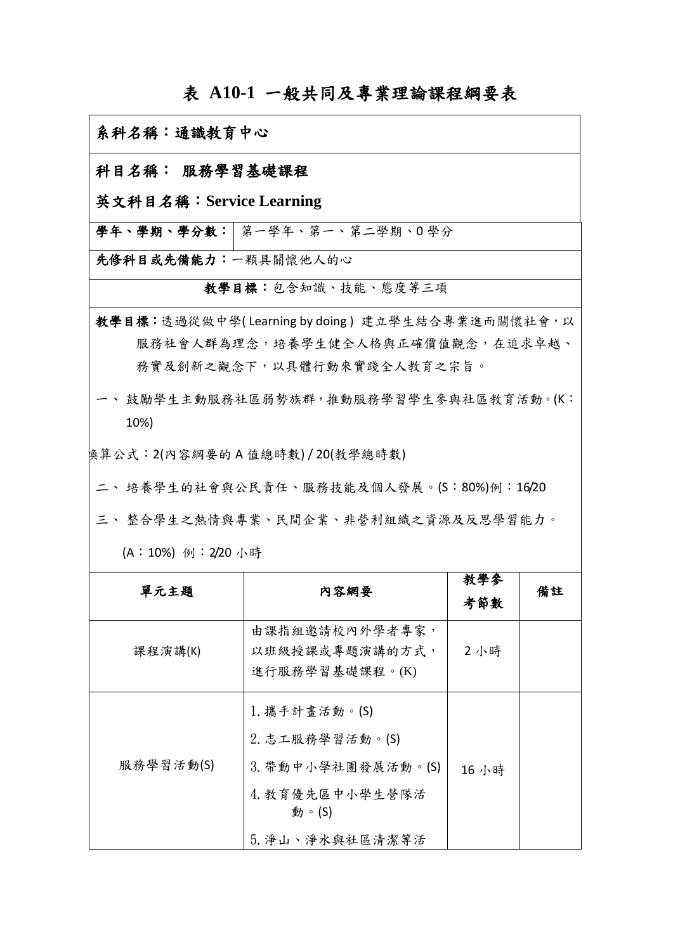## 表 **A10-1** 一般共同及專業理論課程綱要表

| 系科名稱:通識教育中心                                                                   |                                                                                                          |            |    |  |  |
|-------------------------------------------------------------------------------|----------------------------------------------------------------------------------------------------------|------------|----|--|--|
| 科目名稱: 服務學習基礎課程                                                                |                                                                                                          |            |    |  |  |
| 英文科目名稱: Service Learning                                                      |                                                                                                          |            |    |  |  |
|                                                                               | 學年、學期、學分數: 第一學年、第一、第二學期、0學分                                                                              |            |    |  |  |
| 先修科目或先備能力:一顆具關懷他人的心                                                           |                                                                                                          |            |    |  |  |
|                                                                               | 教學目標:包含知識、技能、態度等三項                                                                                       |            |    |  |  |
|                                                                               | 教學目標:透過從做中學(Learning by doing)建立學生結合專業進而關懷社會,以<br>服務社會人群為理念,培養學生健全人格與正確價值觀念,在追求卓越、                       |            |    |  |  |
| 務實及創新之觀念下,以具體行動來實踐全人教育之宗旨。<br>一、 鼓勵學生主動服務社區弱勢族群, 推動服務學習學生參與社區教育活動。(K:<br>10%) |                                                                                                          |            |    |  |  |
| 换算公式:2(內容綱要的 A 值總時數) / 20(教學總時數)<br>二、 培養學生的社會與公民責任、服務技能及個人發展。(S:80%)例:16/20  |                                                                                                          |            |    |  |  |
|                                                                               | 三、整合學生之熱情與專業、民間企業、非營利組織之資源及反思學習能力。                                                                       |            |    |  |  |
| (A:10%) 例: 2/20 小時                                                            |                                                                                                          |            |    |  |  |
| 單元主題                                                                          | 内容網要                                                                                                     | 教學參<br>考節數 | 備註 |  |  |
| 課程演講(K)                                                                       | 由課指組邀請校內外學者專家,<br>以班級授課或專題演講的方式,<br>進行服務學習基礎課程。(K)                                                       | 2小時        |    |  |  |
| 服務學習活動(S)                                                                     | 1. 攜手計畫活動。(S)<br>2. 志工服務學習活動。(S)<br>3. 帶動中小學社團發展活動。(S)<br>4. 教育優先區中小學生營隊活<br>動。 $(S)$<br>5. 淨山、淨水與社區清潔等活 | 16 小時      |    |  |  |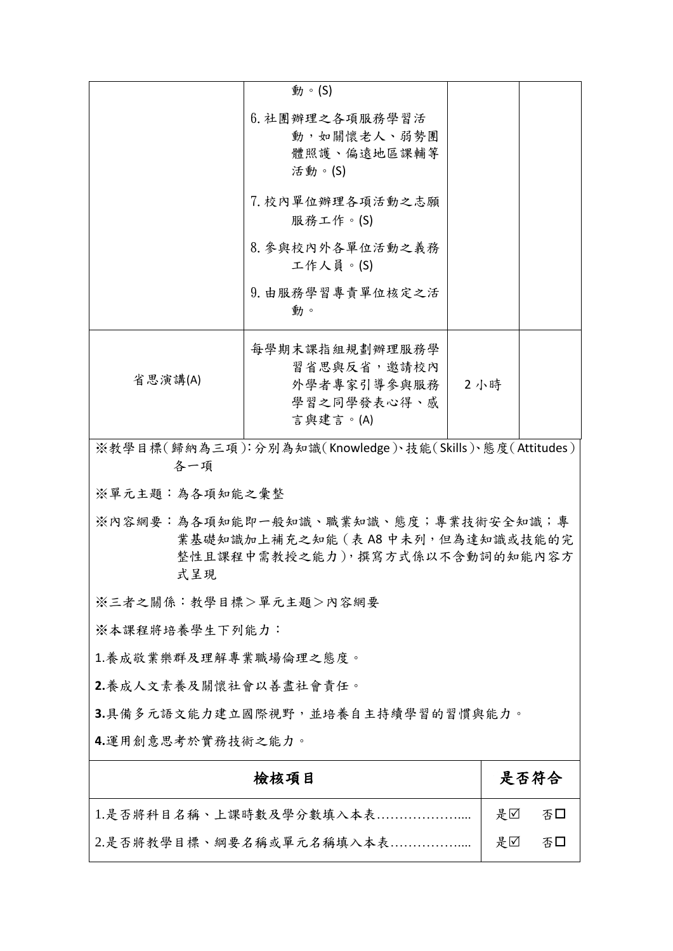|                                                                                                                    | 動。(S)                        |     |          |  |  |
|--------------------------------------------------------------------------------------------------------------------|------------------------------|-----|----------|--|--|
|                                                                                                                    | 6. 社團辦理之各項服務學習活              |     |          |  |  |
|                                                                                                                    | 動,如關懷老人、弱勢團<br>體照護、偏遠地區課輔等   |     |          |  |  |
|                                                                                                                    | 活動。(S)                       |     |          |  |  |
|                                                                                                                    | 7. 校內單位辦理各項活動之志願             |     |          |  |  |
|                                                                                                                    | 服務工作。(S)                     |     |          |  |  |
|                                                                                                                    | 8. 參與校內外各單位活動之義務<br>工作人員。(S) |     |          |  |  |
|                                                                                                                    | 9. 由服務學習專責單位核定之活<br>動。       |     |          |  |  |
|                                                                                                                    | 每學期末課指組規劃辦理服務學               |     |          |  |  |
| 省思演講(A)                                                                                                            | 習省思與反省,邀請校內<br>外學者專家引導參與服務   | 2小時 |          |  |  |
|                                                                                                                    | 學習之同學發表心得、感                  |     |          |  |  |
|                                                                                                                    | 言與建言。(A)                     |     |          |  |  |
| ※教學目標(歸納為三項):分別為知識(Knowledge)、技能(Skills)、態度(Attitudes)<br>各一項                                                      |                              |     |          |  |  |
| ※單元主題:為各項知能之彙整                                                                                                     |                              |     |          |  |  |
| ※內容網要:為各項知能即一般知識、職業知識、態度;專業技術安全知識;專<br>業基礎知識加上補充之知能 (表 A8 中未列, 但為達知識或技能的完<br>整性且課程中需教授之能力),撰寫方式係以不含動詞的知能內容方<br>式呈現 |                              |     |          |  |  |
| ※三者之關係:教學目標>單元主題>內容網要                                                                                              |                              |     |          |  |  |
| ※本課程將培養學生下列能力:                                                                                                     |                              |     |          |  |  |
| 1.養成敬業樂群及理解專業職場倫理之態度。                                                                                              |                              |     |          |  |  |
| 2.養成人文素養及關懷社會以善盡社會責任。                                                                                              |                              |     |          |  |  |
| 3.具備多元語文能力建立國際視野,並培養自主持續學習的習慣與能力。                                                                                  |                              |     |          |  |  |
| 4.運用創意思考於實務技術之能力。                                                                                                  |                              |     |          |  |  |
| 檢核項目                                                                                                               |                              |     | 是否符合     |  |  |
| 1.是否將科目名稱、上課時數及學分數填入本表                                                                                             |                              |     | 是口<br>否口 |  |  |

2.是否將教學目標、綱要名稱或單元名稱填入本表……………....

是☑ 否□